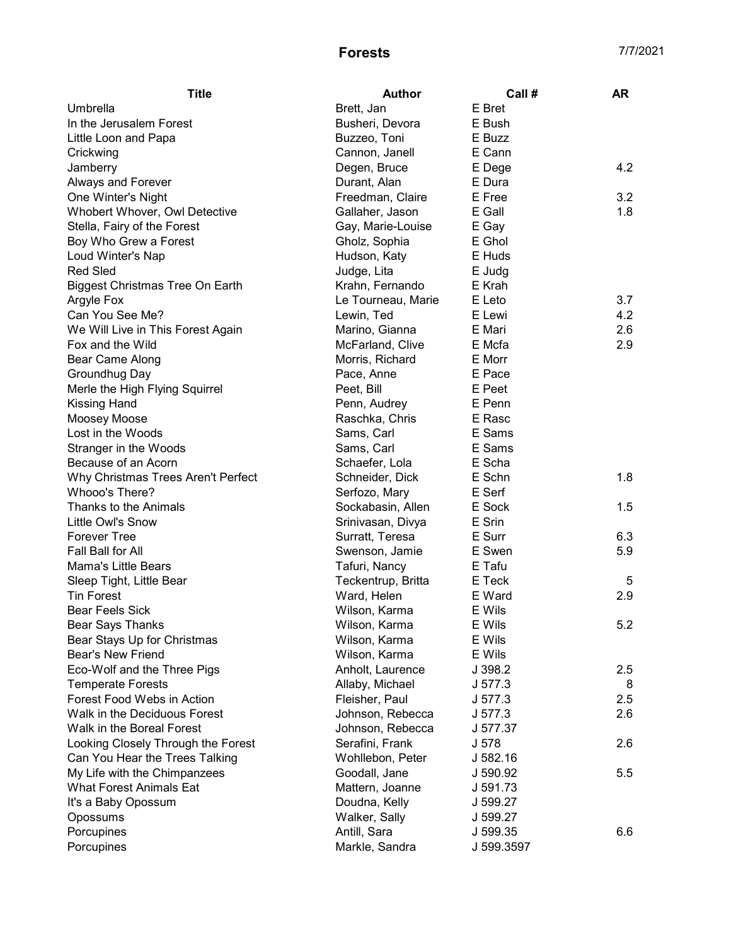## Forests 7/7/2021

| <b>Title</b>                           | <b>Author</b>      | Call #     | <b>AR</b> |
|----------------------------------------|--------------------|------------|-----------|
| Umbrella                               | Brett, Jan         | E Bret     |           |
| In the Jerusalem Forest                | Busheri, Devora    | E Bush     |           |
| Little Loon and Papa                   | Buzzeo, Toni       | E Buzz     |           |
| Crickwing                              | Cannon, Janell     | E Cann     |           |
| Jamberry                               | Degen, Bruce       | E Dege     | 4.2       |
| Always and Forever                     | Durant, Alan       | E Dura     |           |
| One Winter's Night                     | Freedman, Claire   | E Free     | 3.2       |
| Whobert Whover, Owl Detective          | Gallaher, Jason    | E Gall     | 1.8       |
| Stella, Fairy of the Forest            | Gay, Marie-Louise  | E Gay      |           |
| Boy Who Grew a Forest                  | Gholz, Sophia      | E Ghol     |           |
| Loud Winter's Nap                      | Hudson, Katy       | E Huds     |           |
| <b>Red Sled</b>                        | Judge, Lita        | E Judg     |           |
| <b>Biggest Christmas Tree On Earth</b> | Krahn, Fernando    | E Krah     |           |
| Argyle Fox                             | Le Tourneau, Marie | E Leto     | 3.7       |
| Can You See Me?                        | Lewin, Ted         | E Lewi     | 4.2       |
| We Will Live in This Forest Again      | Marino, Gianna     | E Mari     | 2.6       |
| Fox and the Wild                       | McFarland, Clive   | E Mcfa     | 2.9       |
| Bear Came Along                        | Morris, Richard    | E Morr     |           |
| Groundhug Day                          | Pace, Anne         | E Pace     |           |
| Merle the High Flying Squirrel         | Peet, Bill         | E Peet     |           |
| <b>Kissing Hand</b>                    | Penn, Audrey       | E Penn     |           |
| Moosey Moose                           | Raschka, Chris     | E Rasc     |           |
| Lost in the Woods                      | Sams, Carl         | E Sams     |           |
| Stranger in the Woods                  | Sams, Carl         | E Sams     |           |
| Because of an Acorn                    | Schaefer, Lola     | E Scha     |           |
| Why Christmas Trees Aren't Perfect     | Schneider, Dick    | E Schn     | 1.8       |
| Whooo's There?                         | Serfozo, Mary      | E Serf     |           |
| Thanks to the Animals                  | Sockabasin, Allen  | E Sock     | 1.5       |
| Little Owl's Snow                      | Srinivasan, Divya  | E Srin     |           |
| <b>Forever Tree</b>                    | Surratt, Teresa    | E Surr     | 6.3       |
| Fall Ball for All                      | Swenson, Jamie     | E Swen     | 5.9       |
| <b>Mama's Little Bears</b>             | Tafuri, Nancy      | E Tafu     |           |
| Sleep Tight, Little Bear               | Teckentrup, Britta | E Teck     | 5         |
| <b>Tin Forest</b>                      | Ward, Helen        | E Ward     | 2.9       |
| <b>Bear Feels Sick</b>                 | Wilson, Karma      | E Wils     |           |
| <b>Bear Says Thanks</b>                | Wilson, Karma      | E Wils     | 5.2       |
| Bear Stays Up for Christmas            | Wilson, Karma      | E Wils     |           |
| <b>Bear's New Friend</b>               | Wilson, Karma      | E Wils     |           |
| Eco-Wolf and the Three Pigs            | Anholt, Laurence   | J 398.2    | 2.5       |
| <b>Temperate Forests</b>               | Allaby, Michael    | J 577.3    | 8         |
| Forest Food Webs in Action             | Fleisher, Paul     | J 577.3    | 2.5       |
| Walk in the Deciduous Forest           | Johnson, Rebecca   | J 577.3    | 2.6       |
| Walk in the Boreal Forest              | Johnson, Rebecca   | J 577.37   |           |
| Looking Closely Through the Forest     | Serafini, Frank    | J 578      | 2.6       |
| Can You Hear the Trees Talking         | Wohllebon, Peter   | J 582.16   |           |
| My Life with the Chimpanzees           | Goodall, Jane      | J 590.92   | 5.5       |
| <b>What Forest Animals Eat</b>         | Mattern, Joanne    | J 591.73   |           |
| It's a Baby Opossum                    | Doudna, Kelly      | J 599.27   |           |
| Opossums                               | Walker, Sally      | J 599.27   |           |
| Porcupines                             | Antill, Sara       | J 599.35   | 6.6       |
| Porcupines                             | Markle, Sandra     | J 599.3597 |           |
|                                        |                    |            |           |